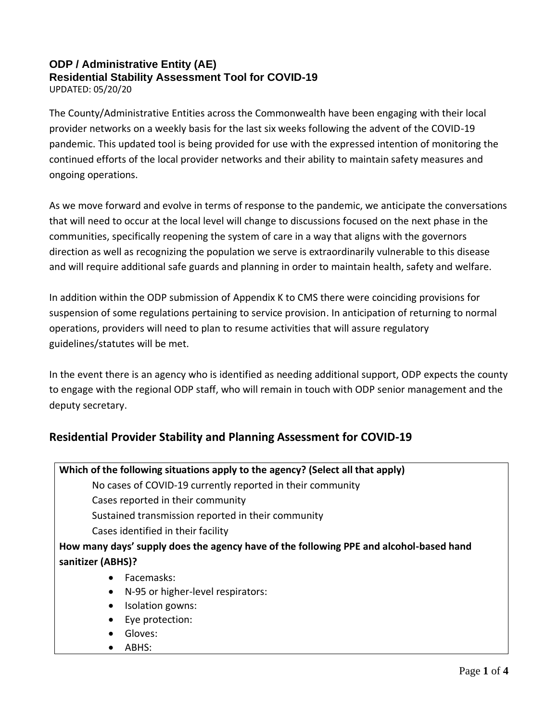## **ODP / Administrative Entity (AE) Residential Stability Assessment Tool for COVID-19**

UPDATED: 05/20/20

The County/Administrative Entities across the Commonwealth have been engaging with their local provider networks on a weekly basis for the last six weeks following the advent of the COVID-19 pandemic. This updated tool is being provided for use with the expressed intention of monitoring the continued efforts of the local provider networks and their ability to maintain safety measures and ongoing operations.

As we move forward and evolve in terms of response to the pandemic, we anticipate the conversations that will need to occur at the local level will change to discussions focused on the next phase in the communities, specifically reopening the system of care in a way that aligns with the governors direction as well as recognizing the population we serve is extraordinarily vulnerable to this disease and will require additional safe guards and planning in order to maintain health, safety and welfare.

In addition within the ODP submission of Appendix K to CMS there were coinciding provisions for suspension of some regulations pertaining to service provision. In anticipation of returning to normal operations, providers will need to plan to resume activities that will assure regulatory guidelines/statutes will be met.

In the event there is an agency who is identified as needing additional support, ODP expects the county to engage with the regional ODP staff, who will remain in touch with ODP senior management and the deputy secretary.

## **Residential Provider Stability and Planning Assessment for COVID-19**

| Which of the following situations apply to the agency? (Select all that apply)         |
|----------------------------------------------------------------------------------------|
| No cases of COVID-19 currently reported in their community                             |
| Cases reported in their community                                                      |
| Sustained transmission reported in their community                                     |
| Cases identified in their facility                                                     |
| How many days' supply does the agency have of the following PPE and alcohol-based hand |
| sanitizer (ABHS)?                                                                      |
| <b>Eacemasks:</b><br>$\bullet$                                                         |
| N-95 or higher-level respirators:<br>$\bullet$                                         |
| Isolation gowns:<br>$\bullet$                                                          |
| Eye protection:<br>$\bullet$                                                           |
| Gloves:                                                                                |
| ABHS:                                                                                  |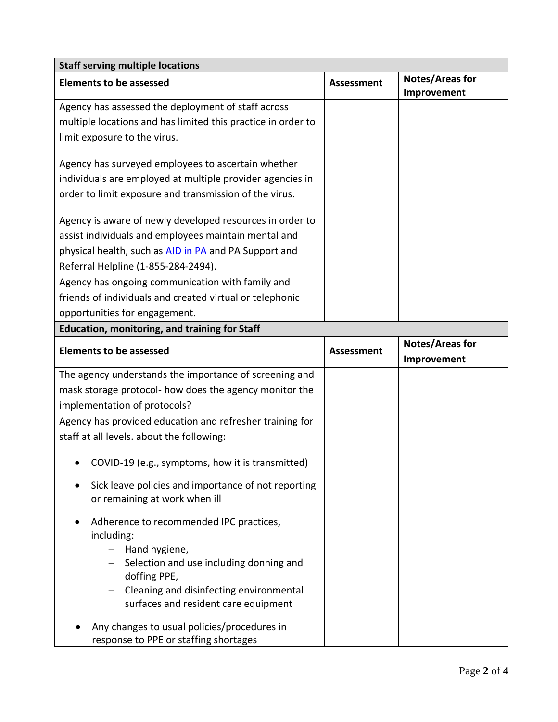| <b>Staff serving multiple locations</b>                      |                   |                                       |  |  |
|--------------------------------------------------------------|-------------------|---------------------------------------|--|--|
| <b>Elements to be assessed</b>                               | Assessment        | <b>Notes/Areas for</b><br>Improvement |  |  |
| Agency has assessed the deployment of staff across           |                   |                                       |  |  |
| multiple locations and has limited this practice in order to |                   |                                       |  |  |
| limit exposure to the virus.                                 |                   |                                       |  |  |
| Agency has surveyed employees to ascertain whether           |                   |                                       |  |  |
| individuals are employed at multiple provider agencies in    |                   |                                       |  |  |
| order to limit exposure and transmission of the virus.       |                   |                                       |  |  |
| Agency is aware of newly developed resources in order to     |                   |                                       |  |  |
| assist individuals and employees maintain mental and         |                   |                                       |  |  |
| physical health, such as AID in PA and PA Support and        |                   |                                       |  |  |
| Referral Helpline (1-855-284-2494).                          |                   |                                       |  |  |
| Agency has ongoing communication with family and             |                   |                                       |  |  |
| friends of individuals and created virtual or telephonic     |                   |                                       |  |  |
| opportunities for engagement.                                |                   |                                       |  |  |
| <b>Education, monitoring, and training for Staff</b>         |                   |                                       |  |  |
| <b>Elements to be assessed</b>                               | <b>Assessment</b> | <b>Notes/Areas for</b><br>Improvement |  |  |
| The agency understands the importance of screening and       |                   |                                       |  |  |
| mask storage protocol- how does the agency monitor the       |                   |                                       |  |  |
| implementation of protocols?                                 |                   |                                       |  |  |
| Agency has provided education and refresher training for     |                   |                                       |  |  |
| staff at all levels. about the following:                    |                   |                                       |  |  |
| COVID-19 (e.g., symptoms, how it is transmitted)             |                   |                                       |  |  |
| Sick leave policies and importance of not reporting          |                   |                                       |  |  |
| or remaining at work when ill                                |                   |                                       |  |  |
| Adherence to recommended IPC practices,                      |                   |                                       |  |  |
| including:                                                   |                   |                                       |  |  |
| Hand hygiene,                                                |                   |                                       |  |  |
| - Selection and use including donning and<br>doffing PPE,    |                   |                                       |  |  |
| Cleaning and disinfecting environmental<br>$-$               |                   |                                       |  |  |
| surfaces and resident care equipment                         |                   |                                       |  |  |
| Any changes to usual policies/procedures in                  |                   |                                       |  |  |
| response to PPE or staffing shortages                        |                   |                                       |  |  |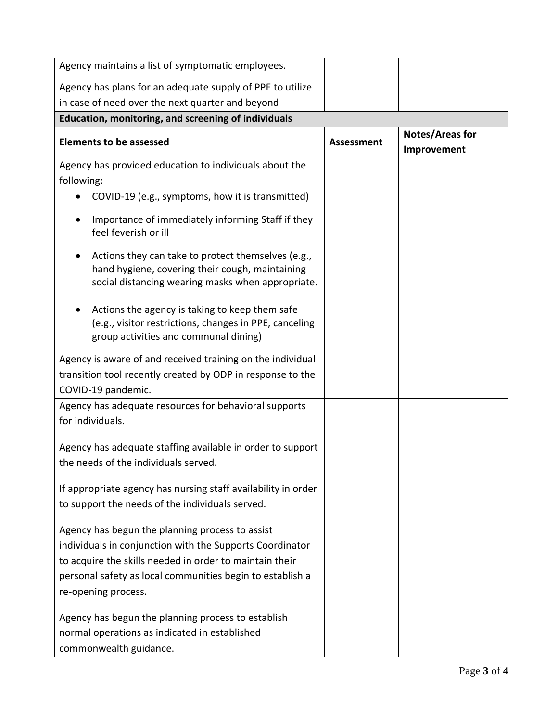| Agency maintains a list of symptomatic employees.                                                                                                          |                   |                                |
|------------------------------------------------------------------------------------------------------------------------------------------------------------|-------------------|--------------------------------|
| Agency has plans for an adequate supply of PPE to utilize                                                                                                  |                   |                                |
| in case of need over the next quarter and beyond                                                                                                           |                   |                                |
| Education, monitoring, and screening of individuals                                                                                                        |                   |                                |
| <b>Elements to be assessed</b>                                                                                                                             | <b>Assessment</b> | Notes/Areas for<br>Improvement |
| Agency has provided education to individuals about the<br>following:                                                                                       |                   |                                |
| COVID-19 (e.g., symptoms, how it is transmitted)                                                                                                           |                   |                                |
| Importance of immediately informing Staff if they<br>feel feverish or ill                                                                                  |                   |                                |
| Actions they can take to protect themselves (e.g.,<br>hand hygiene, covering their cough, maintaining<br>social distancing wearing masks when appropriate. |                   |                                |
| Actions the agency is taking to keep them safe<br>(e.g., visitor restrictions, changes in PPE, canceling<br>group activities and communal dining)          |                   |                                |
| Agency is aware of and received training on the individual<br>transition tool recently created by ODP in response to the<br>COVID-19 pandemic.             |                   |                                |
| Agency has adequate resources for behavioral supports<br>for individuals.                                                                                  |                   |                                |
| Agency has adequate staffing available in order to support<br>the needs of the individuals served.                                                         |                   |                                |
| If appropriate agency has nursing staff availability in order<br>to support the needs of the individuals served.                                           |                   |                                |
| Agency has begun the planning process to assist                                                                                                            |                   |                                |
| individuals in conjunction with the Supports Coordinator                                                                                                   |                   |                                |
| to acquire the skills needed in order to maintain their                                                                                                    |                   |                                |
| personal safety as local communities begin to establish a                                                                                                  |                   |                                |
| re-opening process.                                                                                                                                        |                   |                                |
| Agency has begun the planning process to establish                                                                                                         |                   |                                |
| normal operations as indicated in established                                                                                                              |                   |                                |
| commonwealth guidance.                                                                                                                                     |                   |                                |